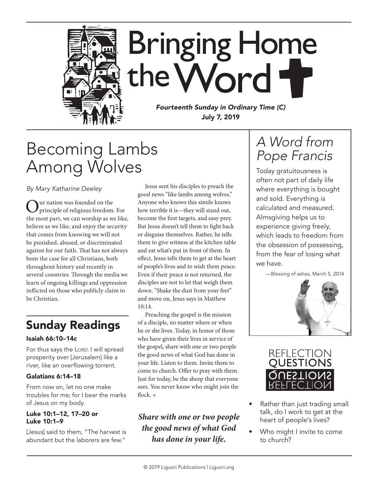

# Becoming Lambs Among Wolves

*By Mary Katharine Deeley*

Our nation was founded on the principle of religious freedom. For the most part, we can worship as we like, believe as we like, and enjoy the security that comes from knowing we will not be punished, abused, or discriminated against for our faith. That has not always been the case for all Christians, both throughout history and recently in several countries. Through the media we learn of ongoing killings and oppression inflicted on those who publicly claim to be Christian.

## Sunday Readings

### Isaiah 66:10–14c

For thus says the LORD: I will spread prosperity over [Jerusalem] like a river, like an overflowing torrent.

### Galatians 6:14–18

From now on, let no one make troubles for me; for I bear the marks of Jesus on my body.

#### Luke 10:1–12, 17–20 or Luke 10:1–9

[Jesus] said to them, "The harvest is abundant but the laborers are few."

Jesus sent his disciples to preach the good news "like lambs among wolves." Anyone who knows this simile knows how terrible it is—they will stand out, become the first targets, and easy prey. But Jesus doesn't tell them to fight back or disguise themselves. Rather, he tells them to give witness at the kitchen table and eat what's put in front of them. In effect, Jesus tells them to get at the heart of people's lives and to wish them peace. Even if their peace is not returned, the disciples are not to let that weigh them down. "Shake the dust from your feet" and move on, Jesus says in Matthew 10:14.

Preaching the gospel is the mission of a disciple, no matter where or when he or she lives. Today, in honor of those who have given their lives in service of the gospel, share with one or two people the good news of what God has done in your life. Listen to them. Invite them to come to church. Offer to pray with them. Just for today, be the sheep that everyone sees. You never know who might join the flock. +

### *Share with one or two people the good news of what God has done in your life.*

## *A Word from Pope Francis*

Today gratuitousness is often not part of daily life where everything is bought and sold. Everything is calculated and measured. Almsgiving helps us to experience giving freely, which leads to freedom from the obsession of possessing, from the fear of losing what we have.





- Rather than just trading small talk, do I work to get at the heart of people's lives?
- Who might I invite to come to church?